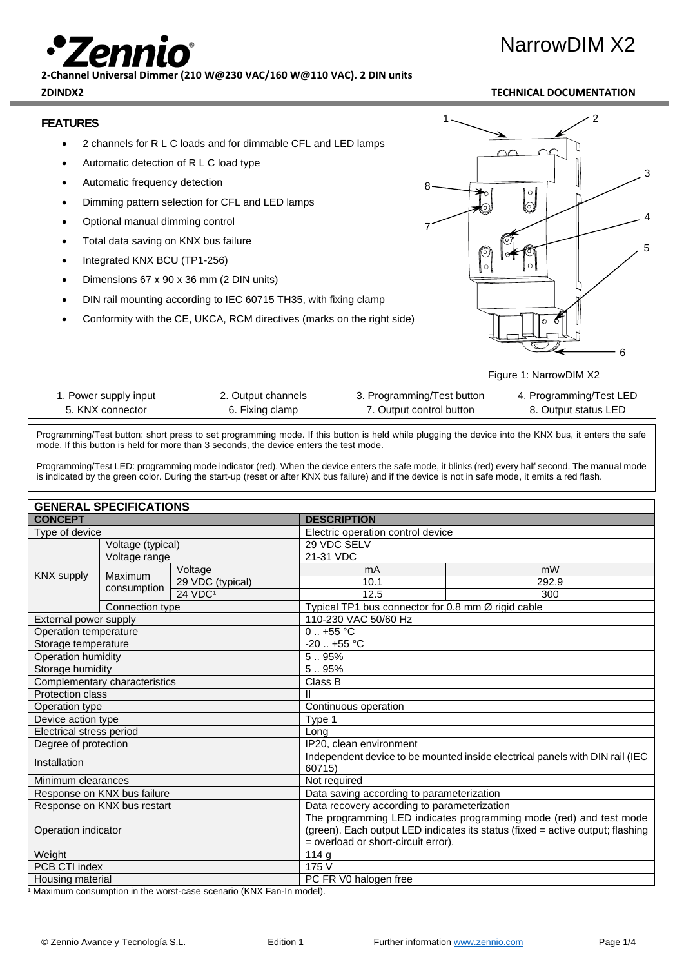# NarrowDIM X2

**2-Channel Universal Dimmer (210 W@230 VAC/160 W@110 VAC). 2 DIN units**

# **FEATURES**

- 2 channels for R L C loads and for dimmable CFL and LED lamps
- Automatic detection of R L C load type
- Automatic frequency detection
- Dimming pattern selection for CFL and LED lamps
- Optional manual dimming control
- Total data saving on KNX bus failure
- Integrated KNX BCU (TP1-256)
- Dimensions 67 x 90 x 36 mm (2 DIN units)
- DIN rail mounting according to IEC 60715 TH35, with fixing clamp
- Conformity with the CE, UKCA, RCM directives (marks on the right side)



Figure 1: NarrowDIM X2

| 1. Power supply input | 2. Output channels | 3. Programming/Test button | 4. Programming/Test LED |
|-----------------------|--------------------|----------------------------|-------------------------|
| 5. KNX connector      | 6. Fixing clamp    | 7. Output control button   | 8. Output status LED    |

Programming/Test button: short press to set programming mode. If this button is held while plugging the device into the KNX bus, it enters the safe mode. If this button is held for more than 3 seconds, the device enters the test mode.

Programming/Test LED: programming mode indicator (red). When the device enters the safe mode, it blinks (red) every half second. The manual mode is indicated by the green color. During the start-up (reset or after KNX bus failure) and if the device is not in safe mode, it emits a red flash.

| <b>GENERAL SPECIFICATIONS</b> |                               |                                                                                        |                                                    |       |  |  |
|-------------------------------|-------------------------------|----------------------------------------------------------------------------------------|----------------------------------------------------|-------|--|--|
| <b>CONCEPT</b>                |                               | <b>DESCRIPTION</b>                                                                     |                                                    |       |  |  |
| Type of device                |                               |                                                                                        | Electric operation control device                  |       |  |  |
|                               | Voltage (typical)             |                                                                                        | 29 VDC SELV                                        |       |  |  |
|                               | Voltage range                 |                                                                                        | 21-31 VDC                                          |       |  |  |
|                               | <b>Maximum</b>                | Voltage                                                                                | mA                                                 | mW    |  |  |
| <b>KNX supply</b>             |                               | 29 VDC (typical)                                                                       | 10.1                                               | 292.9 |  |  |
|                               | consumption                   | 24 VDC <sup>1</sup>                                                                    | 12.5                                               | 300   |  |  |
|                               | Connection type               |                                                                                        | Typical TP1 bus connector for 0.8 mm Ø rigid cable |       |  |  |
| External power supply         |                               |                                                                                        | 110-230 VAC 50/60 Hz                               |       |  |  |
| Operation temperature         |                               |                                                                                        | $0.1 + 55$ °C                                      |       |  |  |
| Storage temperature           |                               |                                                                                        | $-20$ $+55$ °C                                     |       |  |  |
| Operation humidity            |                               |                                                                                        | 5.95%                                              |       |  |  |
| Storage humidity              |                               |                                                                                        | 5.95%                                              |       |  |  |
|                               | Complementary characteristics |                                                                                        | Class B                                            |       |  |  |
| <b>Protection class</b>       |                               |                                                                                        | Ш                                                  |       |  |  |
| Operation type                |                               | Continuous operation                                                                   |                                                    |       |  |  |
| Device action type            |                               | Type 1                                                                                 |                                                    |       |  |  |
| Electrical stress period      |                               | Long                                                                                   |                                                    |       |  |  |
| Degree of protection          |                               | IP20, clean environment                                                                |                                                    |       |  |  |
| Installation                  |                               | Independent device to be mounted inside electrical panels with DIN rail (IEC<br>60715) |                                                    |       |  |  |
| Minimum clearances            |                               | Not required                                                                           |                                                    |       |  |  |
| Response on KNX bus failure   |                               | Data saving according to parameterization                                              |                                                    |       |  |  |
| Response on KNX bus restart   |                               | Data recovery according to parameterization                                            |                                                    |       |  |  |
| Operation indicator           |                               | The programming LED indicates programming mode (red) and test mode                     |                                                    |       |  |  |
|                               |                               | (green). Each output LED indicates its status (fixed = active output; flashing         |                                                    |       |  |  |
|                               |                               | = overload or short-circuit error).                                                    |                                                    |       |  |  |
| Weight                        |                               |                                                                                        | 114g                                               |       |  |  |
| PCB CTI index                 |                               | 175 V                                                                                  |                                                    |       |  |  |
| Housing material              |                               |                                                                                        | PC FR V0 halogen free                              |       |  |  |

<sup>1</sup> Maximum consumption in the worst-case scenario (KNX Fan-In model).

# **ZDINDX2 TECHNICAL DOCUMENTATION**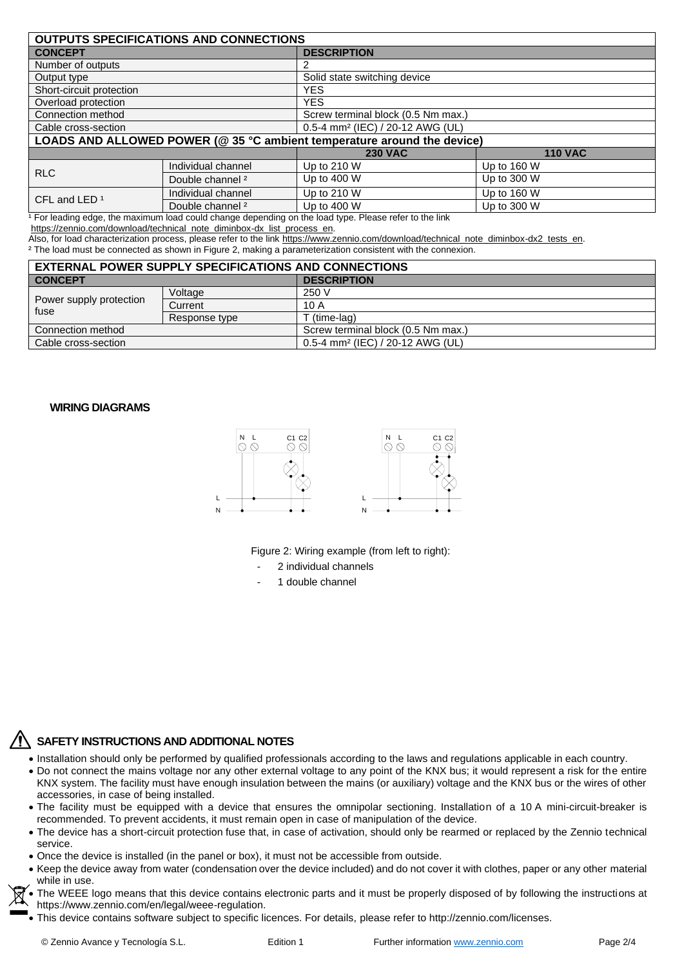| <b>OUTPUTS SPECIFICATIONS AND CONNECTIONS</b>                           |                             |                                              |                |  |
|-------------------------------------------------------------------------|-----------------------------|----------------------------------------------|----------------|--|
| <b>CONCEPT</b>                                                          |                             | <b>DESCRIPTION</b>                           |                |  |
| Number of outputs                                                       |                             |                                              |                |  |
| Output type                                                             |                             | Solid state switching device                 |                |  |
| Short-circuit protection                                                |                             | <b>YES</b>                                   |                |  |
| Overload protection                                                     |                             | <b>YES</b>                                   |                |  |
| Connection method                                                       |                             | Screw terminal block (0.5 Nm max.)           |                |  |
| Cable cross-section                                                     |                             | 0.5-4 mm <sup>2</sup> (IEC) / 20-12 AWG (UL) |                |  |
| LOADS AND ALLOWED POWER (@ 35 °C ambient temperature around the device) |                             |                                              |                |  |
|                                                                         |                             | <b>230 VAC</b>                               | <b>110 VAC</b> |  |
| <b>RLC</b>                                                              | Individual channel          | Up to 210 W                                  | Up to 160 W    |  |
|                                                                         | Double channel <sup>2</sup> | Up to 400 W                                  | Up to 300 W    |  |
| CFL and LED <sup>1</sup>                                                | Individual channel          | Up to 210 W                                  | Up to 160 W    |  |
|                                                                         | Double channel <sup>2</sup> | Up to 400 W                                  | Up to 300 W    |  |

<sup>1</sup> For leading edge, the maximum load could change depending on the load type. Please refer to the link

[https://zennio.com/download/technical\\_note\\_diminbox-dx\\_list\\_process\\_en.](https://zennio.com/download/technical_note_diminbox-dx_list_process_en)

Also, for load characterization process, please refer to the lin[k https://www.zennio.com/download/technical\\_note\\_diminbox-dx2\\_tests\\_en.](https://www.zennio.com/download/technical_note_diminbox-dx2_tests_en) ² The load must be connected as shown in Figure 2, making a parameterization consistent with the connexion.

| <b>EXTERNAL POWER SUPPLY SPECIFICATIONS AND CONNECTIONS</b> |               |                                              |  |  |
|-------------------------------------------------------------|---------------|----------------------------------------------|--|--|
| <b>CONCEPT</b>                                              |               | <b>DESCRIPTION</b>                           |  |  |
| Power supply protection<br>fuse                             | Voltage       | 250 V                                        |  |  |
|                                                             | Current       | 10 A                                         |  |  |
|                                                             | Response type | T (time-lag)                                 |  |  |
| Connection method                                           |               | Screw terminal block (0.5 Nm max.)           |  |  |
| Cable cross-section                                         |               | 0.5-4 mm <sup>2</sup> (IEC) / 20-12 AWG (UL) |  |  |

### **WIRING DIAGRAMS**



Figure 2: Wiring example (from left to right):

- 2 individual channels
- 1 double channel

# **SAFETY INSTRUCTIONS AND ADDITIONAL NOTES**

- Installation should only be performed by qualified professionals according to the laws and regulations applicable in each country.
- Do not connect the mains voltage nor any other external voltage to any point of the KNX bus; it would represent a risk for the entire KNX system. The facility must have enough insulation between the mains (or auxiliary) voltage and the KNX bus or the wires of other accessories, in case of being installed.
- The facility must be equipped with a device that ensures the omnipolar sectioning. Installation of a 10 A mini-circuit-breaker is recommended. To prevent accidents, it must remain open in case of manipulation of the device.
- The device has a short-circuit protection fuse that, in case of activation, should only be rearmed or replaced by the Zennio technical service.
- Once the device is installed (in the panel or box), it must not be accessible from outside.
- Keep the device away from water (condensation over the device included) and do not cover it with clothes, paper or any other material while in use.
- The WEEE logo means that this device contains electronic parts and it must be properly disposed of by following the instructions at https://www.zennio.com/en/legal/weee-regulation.
- This device contains software subject to specific licences. For details, please refer to http://zennio.com/licenses.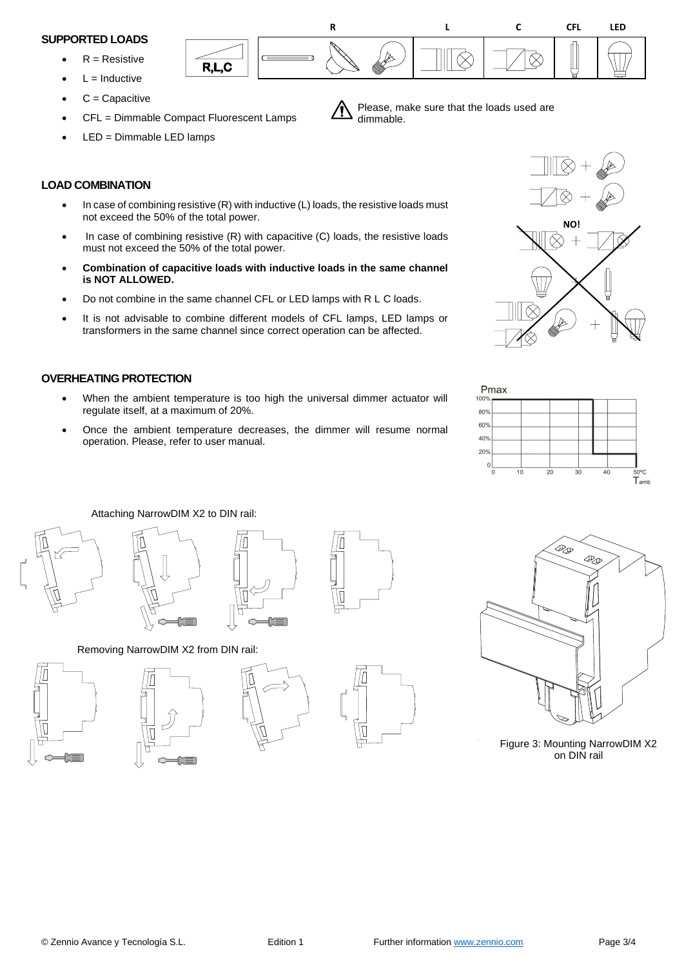#### **SUPPORTED LOADS**

- $R =$  Resistive
- $L = Inductive$
- $C =$ Capacitive
- CFL = Dimmable Compact Fluorescent Lamps

R,L,C

LED = Dimmable LED lamps

## **LOAD COMBINATION**

- In case of combining resistive (R) with inductive (L) loads, the resistive loads must not exceed the 50% of the total power.
- In case of combining resistive (R) with capacitive (C) loads, the resistive loads must not exceed the 50% of the total power.
- **Combination of capacitive loads with inductive loads in the same channel is NOT ALLOWED.**
- Do not combine in the same channel CFL or LED lamps with R L C loads.
- It is not advisable to combine different models of CFL lamps, LED lamps or transformers in the same channel since correct operation can be affected.

# **OVERHEATING PROTECTION**

- When the ambient temperature is too high the universal dimmer actuator will regulate itself, at a maximum of 20%.
- Once the ambient temperature decreases, the dimmer will resume normal operation. Please, refer to user manual.



**R L C CFL LED**

 $\otimes$ 

Please, make sure that the loads used are

♦

dimmable.



Attaching NarrowDIM X2 to DIN rail:





Removing NarrowDIM X2 from DIN rail:











Figure 3: Mounting NarrowDIM X2 on DIN rail